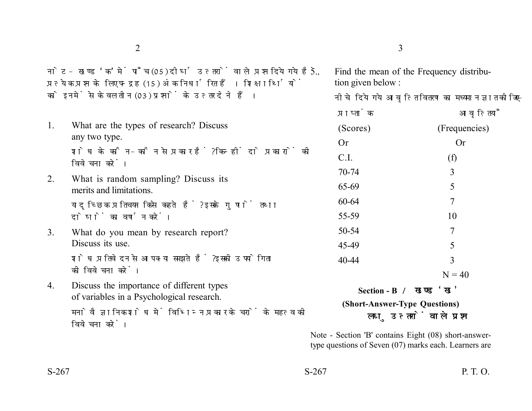नोट- खण्ड 'क' में पाँच (05) दीर्घ उत्तरों वाले प्रश्न दिये गये हैं, प्रत्येक प्रश्न के लिए पन्द्रह (15) अंक निर्धारित हैं। शिक्षार्थियों को इनमें से केवल तीन (03) प्रश्नों के उत्तर देने हैं।

- 1. What are the types of research? Discuss any two type. शोध के कौन-कौन से प्रकार हैं? किन्हीं दो प्रकारों की विवेचना करें। 2. What is random sampling? Discuss its merits and limitations. यादृच्छिक प्रतिचयन किसे कहते हैं? इसके गुणों तथा दोषों का वर्णन करें। 3. What do you mean by research report? Discuss its use. शोध प्रतिवेदन से आप क्या समझते हैं ? इसकी उपयोगिता की विवेचना करें।
- 4. Discuss the importance of different types of variables in a Psychological research. मनोवैज्ञानिक शोध में विभिन्न प्रकार के चरों के महत्व की विवेचना करें।
- $2\overline{3}$ 
	- 5. Find the mean of the Frequency distribution given below :

नीचे दिये गये आवृत्ति वितरण का मध्यमान ज्ञात कोजिए-

| प्राप्ताक              | आवृत्तियाँ    |
|------------------------|---------------|
| (Scores)               | (Frequencies) |
| Or                     | Or            |
| C.I.                   | (f)           |
| 70-74                  | 3             |
| 65-69                  | 5             |
| 60-64                  | 7             |
| 55-59                  | 10            |
| 50-54                  | 7             |
| 45-49                  | 5             |
| 40-44                  | 3             |
|                        | $N = 40$      |
| Section - B / खण्ड 'ख' |               |

**(Short-Answer-Type Questions)** लघु उत्तरों वाले प्रश्न

Note - Section 'B' contains Eight (08) short-answertype questions of Seven (07) marks each. Learners are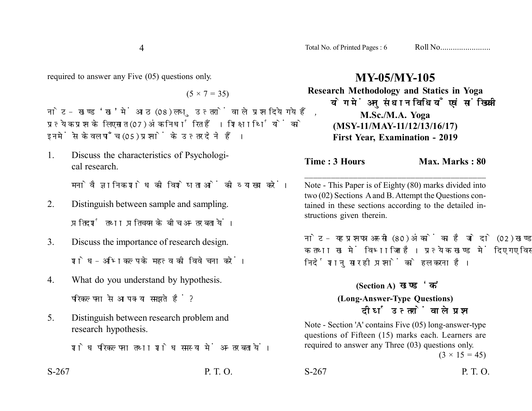4

required to answer any Five (05) questions only.

 $(5 \times 7 = 35)$ 

नोट- खण्ड 'ख' में आठ (08) लघु उत्तरों वाले प्रश्न दिये गये हैं, प्रत्येक प्रश्न के लिए सात (07) अंक निर्धारित हैं। शिक्षार्थियों को इनमें से केवल पाँच (05) प्रश्नों के उत्तर देने हैं।

- 1. Discuss the characteristics of Psychological research. मनोवैज्ञानिक शोध की विशेषताओं की व्याख्या करें।
- 2. Distinguish between sample and sampling. प्रतिदर्श तथा प्रतिचयन के बीच अन्तर बतायें।
- 3. Discuss the importance of research design. शोध-अभिकल्प के महत्व की विवेचना करें।
- 4. What do you understand by hypothesis. परिकल्पना से आप क्या समझते हैं?
- 5. Distinguish between research problem and research hypothesis.

शोध परिकल्पना तथा शोध समस्या में अन्तर बतायें।

S-267 P. T. O.

## **MY-05/MY-105**

**Research Methodology and Statics in Yoga** योग में अनुसंधान विधियाँ एवं सांख्यिकी **M.Sc./M.A. Yoga (MSY-11/MAY-11/12/13/16/17) First Year, Examination - 2019**

## **Time : 3 Hours** Max. Marks : 80

Note - This Paper is of Eighty (80) marks divided into two (02) Sections A and B. Attempt the Questions contained in these sections according to the detailed instructions given therein.

\_\_\_\_\_\_\_\_\_\_\_\_\_\_\_\_\_\_\_\_\_\_\_\_\_\_\_\_\_\_\_\_\_\_\_\_\_\_\_\_\_

नोट- यह प्रश्नपत्र अस्सी (80) अंकों का है जो दो (02) खण्डों. क तथा ख में विभाजित है। प्रत्येक खण्ड में दिए गए विस्तृत निर्देशानुसार ही प्रश्नों को हल करना है।

## **(Section A)**

## **(Long-Answer-Type Questions)** दीर्घ उत्तरों वाले प्रश्न

Note - Section 'A' contains Five (05) long-answer-type questions of Fifteen (15) marks each. Learners are required to answer any Three (03) questions only.

 $(3 \times 15 = 45)$ 

S-267 P. T. O.